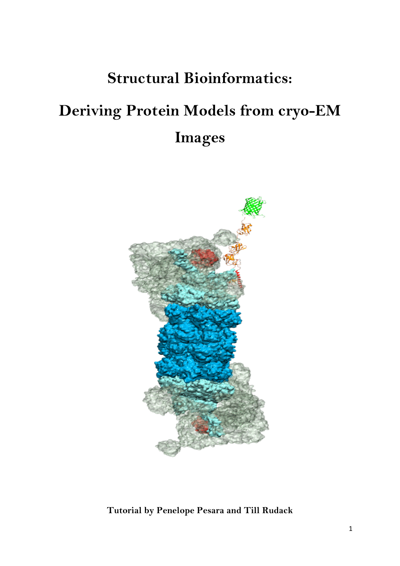## **Structural Bioinformatics:**

# **Deriving Protein Models from cryo-EM Images**



**Tutorial by Penelope Pesara and Till Rudack**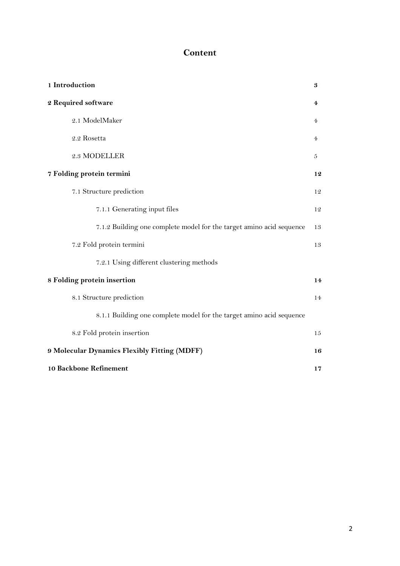## **Content**

| 1 Introduction                                                       | 3              |  |  |  |  |
|----------------------------------------------------------------------|----------------|--|--|--|--|
| 2 Required software                                                  | 4              |  |  |  |  |
| 2.1 ModelMaker                                                       | 4              |  |  |  |  |
| 2.2 Rosetta                                                          | $\overline{4}$ |  |  |  |  |
| 2.3 MODELLER                                                         | 5              |  |  |  |  |
| 7 Folding protein termini                                            | 12             |  |  |  |  |
| 7.1 Structure prediction                                             | 12             |  |  |  |  |
| 7.1.1 Generating input files                                         | 12             |  |  |  |  |
| 7.1.2 Building one complete model for the target amino acid sequence | 13             |  |  |  |  |
| 7.2 Fold protein termini                                             | 13             |  |  |  |  |
| 7.2.1 Using different clustering methods                             |                |  |  |  |  |
| 8 Folding protein insertion                                          |                |  |  |  |  |
| 8.1 Structure prediction                                             | 14             |  |  |  |  |
| 8.1.1 Building one complete model for the target amino acid sequence |                |  |  |  |  |
| 8.2 Fold protein insertion                                           | 15             |  |  |  |  |
| 9 Molecular Dynamics Flexibly Fitting (MDFF)                         |                |  |  |  |  |
| 10 Backbone Refinement                                               |                |  |  |  |  |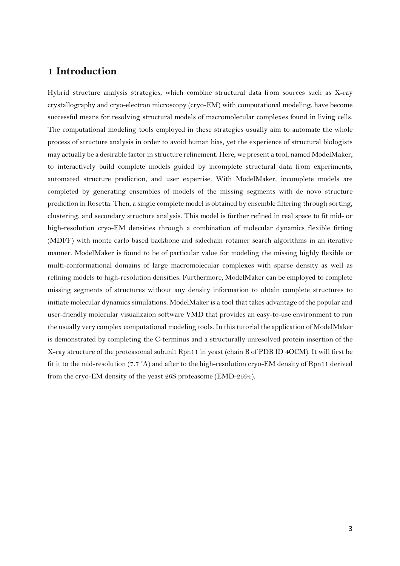## **1 Introduction**

Hybrid structure analysis strategies, which combine structural data from sources such as X-ray crystallography and cryo-electron microscopy (cryo-EM) with computational modeling, have become successful means for resolving structural models of macromolecular complexes found in living cells. The computational modeling tools employed in these strategies usually aim to automate the whole process of structure analysis in order to avoid human bias, yet the experience of structural biologists may actually be a desirable factor in structure refinement. Here, we present a tool, named ModelMaker, to interactively build complete models guided by incomplete structural data from experiments, automated structure prediction, and user expertise. With ModelMaker, incomplete models are completed by generating ensembles of models of the missing segments with de novo structure prediction in Rosetta. Then, a single complete model is obtained by ensemble filtering through sorting, clustering, and secondary structure analysis. This model is further refined in real space to fit mid- or high-resolution cryo-EM densities through a combination of molecular dynamics flexible fitting (MDFF) with monte carlo based backbone and sidechain rotamer search algorithms in an iterative manner. ModelMaker is found to be of particular value for modeling the missing highly flexible or multi-conformational domains of large macromolecular complexes with sparse density as well as refining models to high-resolution densities. Furthermore, ModelMaker can be employed to complete missing segments of structures without any density information to obtain complete structures to initiate molecular dynamics simulations. ModelMaker is a tool that takes advantage of the popular and user-friendly molecular visualizaion software VMD that provides an easy-to-use environment to run the usually very complex computational modeling tools. In this tutorial the application of ModelMaker is demonstrated by completing the C-terminus and a structurally unresolved protein insertion of the X-ray structure of the proteasomal subunit Rpn11 in yeast (chain B of PDB ID 4OCM). It will first be fit it to the mid-resolution (7.7 ˚A) and after to the high-resolution cryo-EM density of Rpn11 derived from the cryo-EM density of the yeast 26S proteasome (EMD-2594).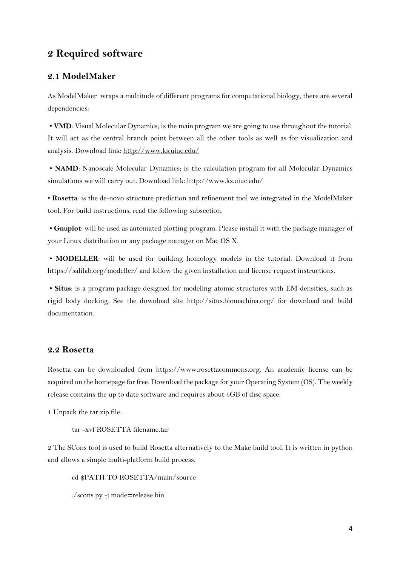## **2 Required software**

#### **2.1 ModelMaker**

As ModelMaker wraps a multitude of different programs for computational biology, there are several dependencies:

• **VMD**: Visual Molecular Dynamics; is the main program we are going to use throughout the tutorial. It will act as the central branch point between all the other tools as well as for visualization and analysis. Download link: http://www.ks.uiuc.edu/

• **NAMD**: Nanoscale Molecular Dynamics; is the calculation program for all Molecular Dynamics simulations we will carry out. Download link: http://www.ks.uiuc.edu/

• **Rosetta**: is the de-novo structure prediction and refinement tool we integrated in the ModelMaker tool. For build instructions, read the following subsection.

• **Gnuplot**: will be used as automated plotting program. Please install it with the package manager of your Linux distribution or any package manager on Mac OS X.

• **MODELLER**: will be used for building homology models in the tutorial. Download it from https://salilab.org/modeller/ and follow the given installation and license request instructions.

• **Situs**: is a program package designed for modeling atomic structures with EM densities, such as rigid body docking. See the download site http://situs.biomachina.org/ for download and build documentation.

#### **2.2 Rosetta**

Rosetta can be downloaded from https://www.rosettacommons.org. An academic license can be acquired on the homepage for free. Download the package for your Operating System (OS). The weekly release contains the up to date software and requires about 5GB of disc space.

1 Unpack the tar.zip file:

tar -xvf ROSETTA filename.tar

2 The SCons tool is used to build Rosetta alternatively to the Make build tool. It is written in python and allows a simple multi-platform build process.

cd \$PATH TO ROSETTA/main/source

./scons.py -j mode=release bin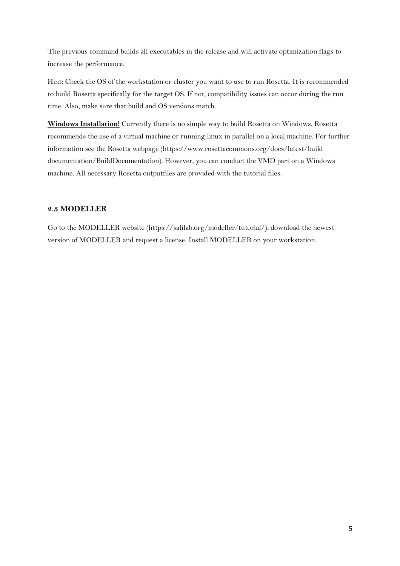The previous command builds all executables in the release and will activate optimization flags to increase the performance.

Hint: Check the OS of the workstation or cluster you want to use to run Rosetta. It is recommended to build Rosetta specifically for the target OS. If not, compatibility issues can occur during the run time. Also, make sure that build and OS versions match.

**Windows Installation!** Currently there is no simple way to build Rosetta on Windows. Rosetta recommends the use of a virtual machine or running linux in parallel on a local machine. For further information see the Rosetta webpage (https://www.rosettacommons.org/docs/latest/build documentation/BuildDocumentation). However, you can conduct the VMD part on a Windows machine. All necessary Rosetta outputfiles are provided with the tutorial files.

#### **2.3 MODELLER**

Go to the MODELLER website (https://salilab.org/modeller/tutorial/), download the newest version of MODELLER and request a license. Install MODELLER on your workstation.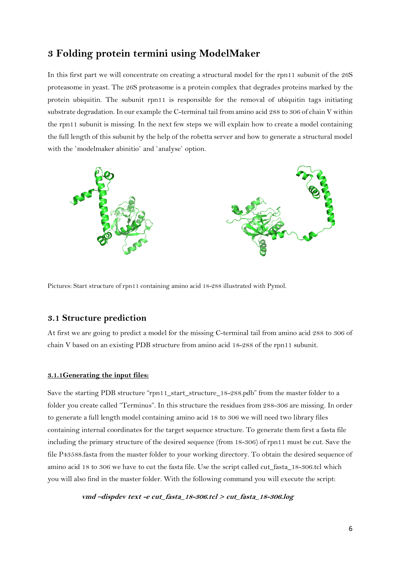## **3 Folding protein termini using ModelMaker**

In this first part we will concentrate on creating a structural model for the rpn11 subunit of the 26S proteasome in yeast. The 26S proteasome is a protein complex that degrades proteins marked by the protein ubiquitin. The subunit rpn11 is responsible for the removal of ubiquitin tags initiating substrate degradation. In our example the C-terminal tail from amino acid 288 to 306 of chain V within the rpn11 subunit is missing. In the next few steps we will explain how to create a model containing the full length of this subunit by the help of the robetta server and how to generate a structural model with the `modelmaker abinitio` and `analyse` option.



Pictures: Start structure of rpn11 containing amino acid 18-288 illustrated with Pymol.

#### **3.1 Structure prediction**

At first we are going to predict a model for the missing C-terminal tail from amino acid 288 to 306 of chain V based on an existing PDB structure from amino acid 18-288 of the rpn11 subunit.

#### **3.1.1Generating the input files:**

Save the starting PDB structure "rpn11\_start\_structure\_18-288.pdb" from the master folder to a folder you create called "Terminus". In this structure the residues from 288-306 are missing. In order to generate a full length model containing amino acid 18 to 306 we will need two library files containing internal coordinates for the target sequence structure. To generate them first a fasta file including the primary structure of the desired sequence (from 18-306) of rpn11 must be cut. Save the file P43588.fasta from the master folder to your working directory. To obtain the desired sequence of amino acid 18 to 306 we have to cut the fasta file. Use the script called cut\_fasta\_18-306.tcl which you will also find in the master folder. With the following command you will execute the script:

 **vmd –dispdev text -e cut\_fasta\_18-306.tcl <sup>&</sup>gt; cut\_fasta\_18-306.log**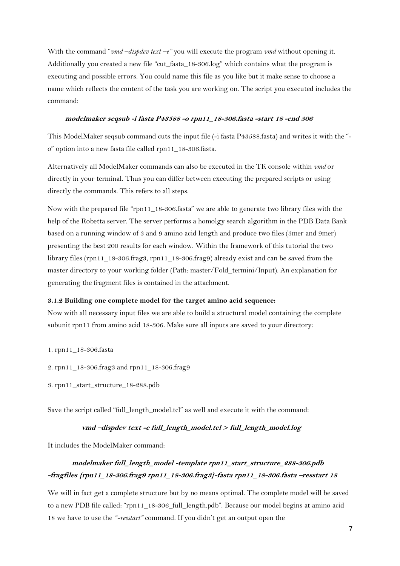With the command "*vmd –dispdev text –e"* you will execute the program *vmd* without opening it. Additionally you created a new file "cut\_fasta\_18-306.log" which contains what the program is executing and possible errors. You could name this file as you like but it make sense to choose a name which reflects the content of the task you are working on. The script you executed includes the command:

#### **modelmaker seqsub -i fasta P43588 -o rpn11\_18-306.fasta -start 18 -end 306**

This ModelMaker seqsub command cuts the input file (-i fasta P43588.fasta) and writes it with the "o" option into a new fasta file called rpn11\_18-306.fasta.

Alternatively all ModelMaker commands can also be executed in the TK console within *vmd* or directly in your terminal. Thus you can differ between executing the prepared scripts or using directly the commands. This refers to all steps.

Now with the prepared file "rpn11\_18-306.fasta" we are able to generate two library files with the help of the Robetta server. The server performs a homolgy search algorithm in the PDB Data Bank based on a running window of 3 and 9 amino acid length and produce two files (3mer and 9mer) presenting the best 200 results for each window. Within the framework of this tutorial the two library files (rpn11\_18-306.frag3, rpn11\_18-306.frag9) already exist and can be saved from the master directory to your working folder (Path: master/Fold\_termini/Input). An explanation for generating the fragment files is contained in the attachment.

#### **3.1.2 Building one complete model for the target amino acid sequence:**

Now with all necessary input files we are able to build a structural model containing the complete subunit rpn11 from amino acid 18-306. Make sure all inputs are saved to your directory:

- 1. rpn11\_18-306.fasta
- 2. rpn11\_18-306.frag3 and rpn11\_18-306.frag9
- 3. rpn11\_start\_structure\_18-288.pdb

Save the script called "full\_length\_model.tcl" as well and execute it with the command:

#### **vmd –dispdev text -e full\_length\_model.tcl <sup>&</sup>gt; full\_length\_model.log**

It includes the ModelMaker command:

## **modelmaker full\_length\_model -template rpn11\_start\_structure\_288-306.pdb -fragfiles {rpn11\_18-306.frag9 rpn11\_18-306.frag3}-fasta rpn11\_18-306.fasta –resstart 18**

We will in fact get a complete structure but by no means optimal. The complete model will be saved to a new PDB file called: "rpn11\_18-306\_full\_length.pdb". Because our model begins at amino acid 18 we have to use the *"-resstart"* command. If you didn't get an output open the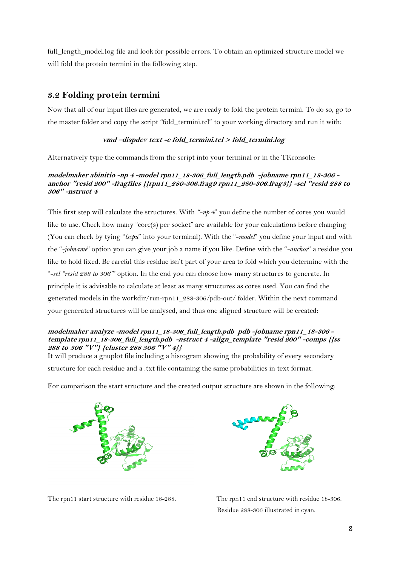full\_length\_model.log file and look for possible errors. To obtain an optimized structure model we will fold the protein termini in the following step.

## **3.2 Folding protein termini**

Now that all of our input files are generated, we are ready to fold the protein termini. To do so, go to the master folder and copy the script "fold\_termini.tcl" to your working directory and run it with:

#### **vmd –dispdev text -e fold\_termini.tcl <sup>&</sup>gt; fold\_termini.log**

Alternatively type the commands from the script into your terminal or in the TKconsole:

#### **modelmaker abinitio -np 4 -model rpn11\_18-306\_full\_length.pdb -jobname rpn11\_18-306 anchor "resid 200" -fragfiles {{rpn11\_280-306.frag9 rpn11\_280-306.frag3}} -sel "resid 288 to 306" -nstruct 4**

This first step will calculate the structures. With *"-np 4*" you define the number of cores you would like to use. Check how many "core(s) per socket" are available for your calculations before changing (You can check by tying "*lscpu*" into your terminal). With the "*-model*" you define your input and with the "*-jobname*" option you can give your job a name if you like. Define with the "*-anchor*" a residue you like to hold fixed. Be careful this residue isn't part of your area to fold which you determine with the "*-sel "resid 288 to 306*"" option. In the end you can choose how many structures to generate. In principle it is advisable to calculate at least as many structures as cores used. You can find the generated models in the workdir/run-rpn11\_288-306/pdb-out/ folder. Within the next command your generated structures will be analysed, and thus one aligned structure will be created:

#### **modelmaker analyze -model rpn11\_18-306\_full\_length.pdb pdb -jobname rpn11\_18-306 template rpn11\_18-306\_full\_length.pdb -nstruct 4 -align\_template "resid 200" -comps {{ss 288 to 306 "V"} {cluster 288 306 "V" 4}}**

It will produce a gnuplot file including a histogram showing the probability of every secondary structure for each residue and a .txt file containing the same probabilities in text format.

For comparison the start structure and the created output structure are shown in the following:





The rpn11 start structure with residue 18-288. The rpn11 end structure with residue 18-306.

Residue 288-306 illustrated in cyan.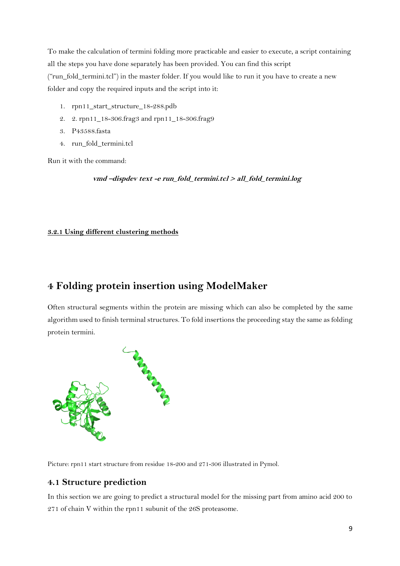To make the calculation of termini folding more practicable and easier to execute, a script containing all the steps you have done separately has been provided. You can find this script ("run\_fold\_termini.tcl") in the master folder. If you would like to run it you have to create a new folder and copy the required inputs and the script into it:

- 1. rpn11\_start\_structure\_18-288.pdb
- 2. 2. rpn11\_18-306.frag3 and rpn11\_18-306.frag9
- 3. P43588.fasta
- 4. run\_fold\_termini.tcl

Run it with the command:

 **vmd –dispdev text -e run\_fold\_termini.tcl <sup>&</sup>gt; all\_fold\_termini.log**

#### **3.2.1 Using different clustering methods**

## **4 Folding protein insertion using ModelMaker**

Often structural segments within the protein are missing which can also be completed by the same algorithm used to finish terminal structures. To fold insertions the proceeding stay the same as folding protein termini.



Picture: rpn11 start structure from residue 18-200 and 271-306 illustrated in Pymol.

### **4.1 Structure prediction**

In this section we are going to predict a structural model for the missing part from amino acid 200 to 271 of chain V within the rpn11 subunit of the 26S proteasome.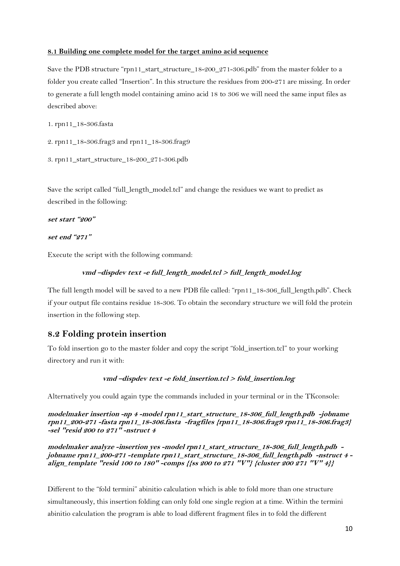#### **8.1 Building one complete model for the target amino acid sequence**

Save the PDB structure "rpn11\_start\_structure\_18-200\_271-306.pdb" from the master folder to a folder you create called "Insertion". In this structure the residues from 200-271 are missing. In order to generate a full length model containing amino acid 18 to 306 we will need the same input files as described above:

1. rpn11\_18-306.fasta

```
2. rpn11_18-306.frag3 and rpn11_18-306.frag9
```

```
3. rpn11_start_structure_18-200_271-306.pdb
```
Save the script called "full\_length\_model.tcl" and change the residues we want to predict as described in the following:

**set start "200"**

**set end "271"**

Execute the script with the following command:

#### **vmd –dispdev text -e full\_length\_model.tcl <sup>&</sup>gt; full\_length\_model.log**

The full length model will be saved to a new PDB file called: "rpn11\_18-306\_full\_length.pdb". Check if your output file contains residue 18-306. To obtain the secondary structure we will fold the protein insertion in the following step.

#### **8.2 Folding protein insertion**

To fold insertion go to the master folder and copy the script "fold\_insertion.tcl" to your working directory and run it with:

#### **vmd –dispdev text -e fold\_insertion.tcl <sup>&</sup>gt; fold\_insertion.log**

Alternatively you could again type the commands included in your terminal or in the TKconsole:

**modelmaker insertion -np 4 -model rpn11\_start\_structure\_18-306\_full\_length.pdb -jobname rpn11\_200-271 -fasta rpn11\_18-306.fasta -fragfiles {rpn11\_18-306.frag9 rpn11\_18-306.frag3} -sel "resid 200 to 271" -nstruct 4** 

**modelmaker analyze -insertion yes -model rpn11\_start\_structure\_18-306\_full\_length.pdb jobname rpn11\_200-271 -template rpn11\_start\_structure\_18-306\_full\_length.pdb -nstruct 4 align\_template "resid 100 to 180" -comps {{ss 200 to 271 "V"} {cluster 200 271 "V" 4}}**

Different to the "fold termini" abinitio calculation which is able to fold more than one structure simultaneously, this insertion folding can only fold one single region at a time. Within the termini abinitio calculation the program is able to load different fragment files in to fold the different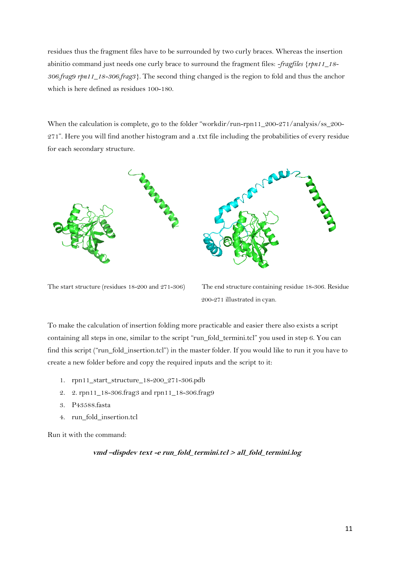residues thus the fragment files have to be surrounded by two curly braces. Whereas the insertion abinitio command just needs one curly brace to surround the fragment files: *-fragfiles {rpn11\_18- 306.frag9 rpn11\_18-306.frag3}.* The second thing changed is the region to fold and thus the anchor which is here defined as residues 100-180.

When the calculation is complete, go to the folder "workdir/run-rpn11\_200-271/analysis/ss\_200-271". Here you will find another histogram and a .txt file including the probabilities of every residue for each secondary structure.



The start structure (residues 18-200 and 271-306) The end structure containing residue 18-306. Residue

200-271 illustrated in cyan.

To make the calculation of insertion folding more practicable and easier there also exists a script containing all steps in one, similar to the script "run\_fold\_termini.tcl" you used in step 6. You can find this script ("run\_fold\_insertion.tcl") in the master folder. If you would like to run it you have to create a new folder before and copy the required inputs and the script to it:

- 1. rpn11\_start\_structure\_18-200\_271-306.pdb
- 2. 2. rpn11\_18-306.frag3 and rpn11\_18-306.frag9
- 3. P43588.fasta
- 4. run\_fold\_insertion.tcl

Run it with the command:

#### **vmd –dispdev text -e run\_fold\_termini.tcl <sup>&</sup>gt; all\_fold\_termini.log**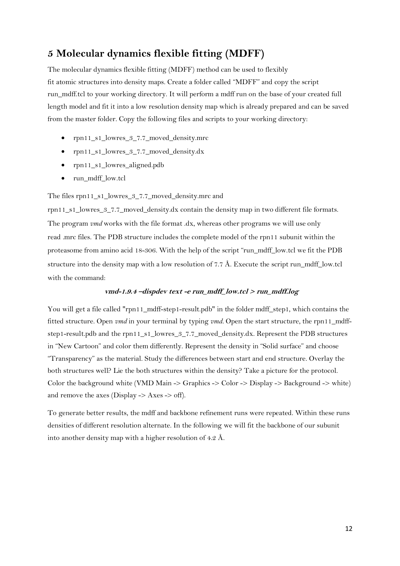## **5 Molecular dynamics flexible fitting (MDFF)**

The molecular dynamics flexible fitting (MDFF) method can be used to flexibly fit atomic structures into density maps. Create a folder called "MDFF" and copy the script run\_mdff.tcl to your working directory. It will perform a mdff run on the base of your created full length model and fit it into a low resolution density map which is already prepared and can be saved from the master folder. Copy the following files and scripts to your working directory:

- rpn11\_s1\_lowres\_3\_7.7\_moved\_density.mrc
- rpn11\_s1\_lowres\_3\_7.7\_moved\_density.dx
- rpn11\_s1\_lowres\_aligned.pdb
- run\_mdff\_low.tcl

#### The files rpn11\_s1\_lowres\_3\_7.7\_moved\_density.mrc and

rpn11\_s1\_lowres\_3\_7.7\_moved\_density.dx contain the density map in two different file formats. The program *vmd* works with the file format .dx, whereas other programs we will use only read .mrc files. The PDB structure includes the complete model of the rpn11 subunit within the proteasome from amino acid 18-306. With the help of the script "run\_mdff\_low.tcl we fit the PDB structure into the density map with a low resolution of 7.7 Å. Execute the script run\_mdff\_low.tcl with the command:

#### **vmd-1.9.4 –dispdev text -e run\_mdff\_low.tcl > run\_mdff.log**

You will get a file called "rpn11\_mdff-step1-result.pdb" in the folder mdff\_step1, which contains the fitted structure. Open *vmd* in your terminal by typing *vmd.* Open the start structure, the rpn11\_mdffstep1-result.pdb and the rpn11\_s1\_lowres\_3\_7.7\_moved\_density.dx. Represent the PDB structures in "New Cartoon" and color them differently. Represent the density in "Solid surface" and choose "Transparency" as the material. Study the differences between start and end structure. Overlay the both structures well? Lie the both structures within the density? Take a picture for the protocol. Color the background white (VMD Main -> Graphics -> Color -> Display -> Background -> white) and remove the axes (Display  $\rightarrow$  Axes  $\rightarrow$  off).

To generate better results, the mdff and backbone refinement runs were repeated. Within these runs densities of different resolution alternate. In the following we will fit the backbone of our subunit into another density map with a higher resolution of 4.2 Å.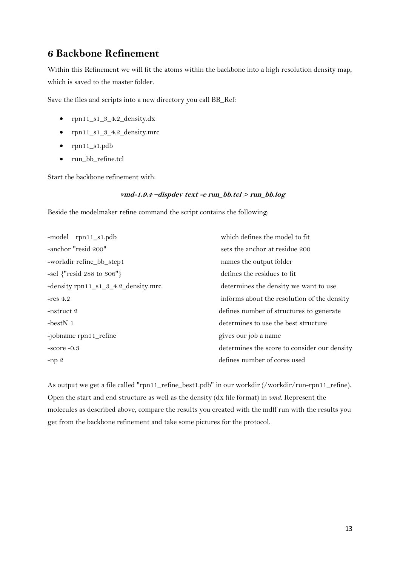## **6 Backbone Refinement**

Within this Refinement we will fit the atoms within the backbone into a high resolution density map, which is saved to the master folder.

Save the files and scripts into a new directory you call BB\_Ref:

- rpn11\_s1\_3\_4.2\_density.dx
- rpn11\_s1\_3\_4.2\_density.mrc
- rpn11\_s1.pdb
- run\_bb\_refine.tcl

Start the backbone refinement with:

#### **vmd-1.9.4 –dispdev text -e run\_bb.tcl > run\_bb.log**

Beside the modelmaker refine command the script contains the following:

| -model rpn11_s1.pdb                 | which defines the model to fit               |  |
|-------------------------------------|----------------------------------------------|--|
| -anchor "resid 200"                 | sets the anchor at residue 200               |  |
| -workdir refine_bb_step1            | names the output folder                      |  |
| $-$ sel {"resid 288 to 306"}        | defines the residues to fit                  |  |
| -density rpn11_s1_3_4.2_density.mrc | determines the density we want to use        |  |
| $-res 4.2$                          | informs about the resolution of the density  |  |
| -nstruct 2                          | defines number of structures to generate     |  |
| $-bestN_1$                          | determines to use the best structure         |  |
| -jobname rpn11_refine               | gives our job a name                         |  |
| $-score -0.3$                       | determines the score to consider our density |  |
| $-np2$                              | defines number of cores used                 |  |

As output we get a file called "rpn11\_refine\_best1.pdb" in our workdir (/workdir/run-rpn11\_refine). Open the start and end structure as well as the density (dx file format) in *vmd*. Represent the molecules as described above, compare the results you created with the mdff run with the results you get from the backbone refinement and take some pictures for the protocol.